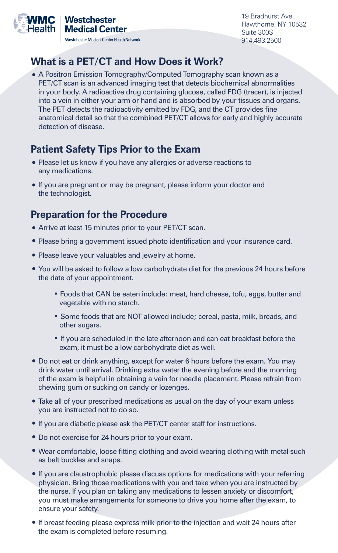

19 Bradhurst Ave, Hawthorne, NY 10532 Suite 300S 914.493.2500

## **What is a PET/CT and How Does it Work?**

**•** A Positron Emission Tomography/Computed Tomography scan known as a PET/CT scan is an advanced imaging test that detects biochemical abnormalities in your body. A radioactive drug containing glucose, called FDG (tracer), is injected into a vein in either your arm or hand and is absorbed by your tissues and organs. The PET detects the radioactivity emitted by FDG, and the CT provides fine anatomical detail so that the combined PET/CT allows for early and highly accurate detection of disease.

# **Patient Safety Tips Prior to the Exam**

- Please let us know if you have any allergies or adverse reactions to any medications.
- **•** If you are pregnant or may be pregnant, please inform your doctor and the technologist.

#### **Preparation for the Procedure**

- Arrive at least 15 minutes prior to your PET/CT scan.
- **•** Please bring a government issued photo identification and your insurance card.
- **•** Please leave your valuables and jewelry at home.
- **•** You will be asked to follow a low carbohydrate diet for the previous 24 hours before the date of your appointment.
	- **•** Foods that CAN be eaten include: meat, hard cheese, tofu, eggs, butter and vegetable with no starch.
	- Some foods that are NOT allowed include; cereal, pasta, milk, breads, and other sugars.
	- If you are scheduled in the late afternoon and can eat breakfast before the exam, it must be a low carbohydrate diet as well.
- **•** Do not eat or drink anything, except for water 6 hours before the exam. You may drink water until arrival. Drinking extra water the evening before and the morning of the exam is helpful in obtaining a vein for needle placement. Please refrain from chewing gum or sucking on candy or lozenges.
- **•** Take all of your prescribed medications as usual on the day of your exam unless you are instructed not to do so.
- **•** If you are diabetic please ask the PET/CT center staff for instructions.
- **•** Do not exercise for 24 hours prior to your exam.
- **•** Wear comfortable, loose fitting clothing and avoid wearing clothing with metal such as belt buckles and snaps.
- **•** If you are claustrophobic please discuss options for medications with your referring physician. Bring those medications with you and take when you are instructed by the nurse. If you plan on taking any medications to lessen anxiety or discomfort, you must make arrangements for someone to drive you home after the exam, to ensure your safety.
- **•** If breast feeding please express milk prior to the injection and wait 24 hours after the exam is completed before resuming.